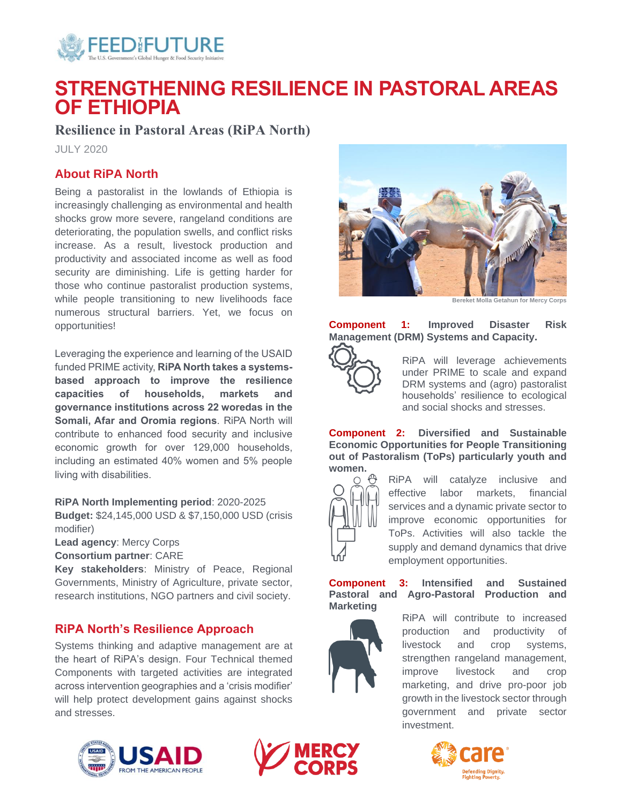

# **STRENGTHENING RESILIENCE IN PASTORAL AREAS OF ETHIOPIA**

# **Resilience in Pastoral Areas (RiPA North)**

JULY 2020

# **About RiPA North**

Being a pastoralist in the lowlands of Ethiopia is increasingly challenging as environmental and health shocks grow more severe, rangeland conditions are deteriorating, the population swells, and conflict risks increase. As a result, livestock production and productivity and associated income as well as food security are diminishing. Life is getting harder for those who continue pastoralist production systems, while people transitioning to new livelihoods face numerous structural barriers. Yet, we focus on opportunities!

Leveraging the experience and learning of the USAID funded PRIME activity, **RiPA North takes a systemsbased approach to improve the resilience capacities of households, markets and governance institutions across 22 woredas in the Somali, Afar and Oromia regions**. RiPA North will contribute to enhanced food security and inclusive economic growth for over 129,000 households, including an estimated 40% women and 5% people living with disabilities.

**RiPA North Implementing period**: 2020-2025

**Budget:** \$24,145,000 USD & \$7,150,000 USD (crisis modifier)

**Lead agency**: Mercy Corps

**Consortium partner**: CARE

**Key stakeholders**: Ministry of Peace, Regional Governments, Ministry of Agriculture, private sector, research institutions, NGO partners and civil society.

## **RiPA North's Resilience Approach**

Systems thinking and adaptive management are at the heart of RiPA's design. Four Technical themed Components with targeted activities are integrated across intervention geographies and a 'crisis modifier' will help protect development gains against shocks and stresses.







**Bereket Molla Getahun for Mercy Corps**

**Component 1: Improved Disaster Risk Management (DRM) Systems and Capacity.** 



RiPA will leverage achievements under PRIME to scale and expand DRM systems and (agro) pastoralist households' resilience to ecological and social shocks and stresses.

**Component 2: Diversified and Sustainable Economic Opportunities for People Transitioning out of Pastoralism (ToPs) particularly youth and women.**



RiPA will catalyze inclusive and effective labor markets, financial services and a dynamic private sector to improve economic opportunities for ToPs. Activities will also tackle the supply and demand dynamics that drive employment opportunities.

**Component 3: Intensified and Sustained Pastoral and Agro-Pastoral Production and Marketing**

> RiPA will contribute to increased production and productivity of livestock and crop systems, strengthen rangeland management, improve livestock and crop marketing, and drive pro-poor job growth in the livestock sector through government and private sector investment.